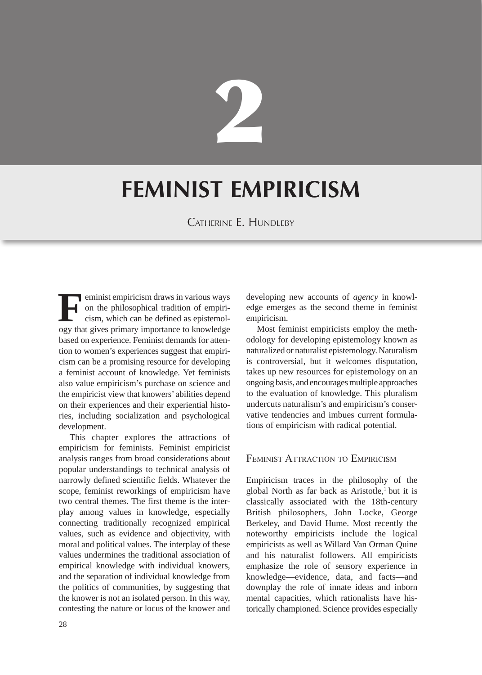# **FEMINIST EMPIRICISM**

2

Catherine E. Hundleby

**F**eminist empiricism draws in various ways<br>on the philosophical tradition of empiricism, which can be defined as epistemol-<br>over that gives primary importance to knowledge on the philosophical tradition of empiricism, which can be defined as epistemology that gives primary importance to knowledge based on experience. Feminist demands for attention to women's experiences suggest that empiricism can be a promising resource for developing a feminist account of knowledge. Yet feminists also value empiricism's purchase on science and the empiricist view that knowers' abilities depend on their experiences and their experiential histories, including socialization and psychological development.

This chapter explores the attractions of empiricism for feminists. Feminist empiricist analysis ranges from broad considerations about popular understandings to technical analysis of narrowly defined scientific fields. Whatever the scope, feminist reworkings of empiricism have two central themes. The first theme is the interplay among values in knowledge, especially connecting traditionally recognized empirical values, such as evidence and objectivity, with moral and political values. The interplay of these values undermines the traditional association of empirical knowledge with individual knowers, and the separation of individual knowledge from the politics of communities, by suggesting that the knower is not an isolated person. In this way, contesting the nature or locus of the knower and

developing new accounts of *agency* in knowledge emerges as the second theme in feminist empiricism.

Most feminist empiricists employ the methodology for developing epistemology known as naturalized or naturalist epistemology. Naturalism is controversial, but it welcomes disputation, takes up new resources for epistemology on an ongoing basis, and encourages multiple approaches to the evaluation of knowledge. This pluralism undercuts naturalism's and empiricism's conservative tendencies and imbues current formulations of empiricism with radical potential.

# Feminist Attraction to Empiricism

Empiricism traces in the philosophy of the global North as far back as Aristotle, $<sup>1</sup>$  but it is</sup> classically associated with the 18th-century British philosophers, John Locke, George Berkeley, and David Hume. Most recently the noteworthy empiricists include the logical empiricists as well as Willard Van Orman Quine and his naturalist followers. All empiricists emphasize the role of sensory experience in knowledge—evidence, data, and facts—and downplay the role of innate ideas and inborn mental capacities, which rationalists have historically championed. Science provides especially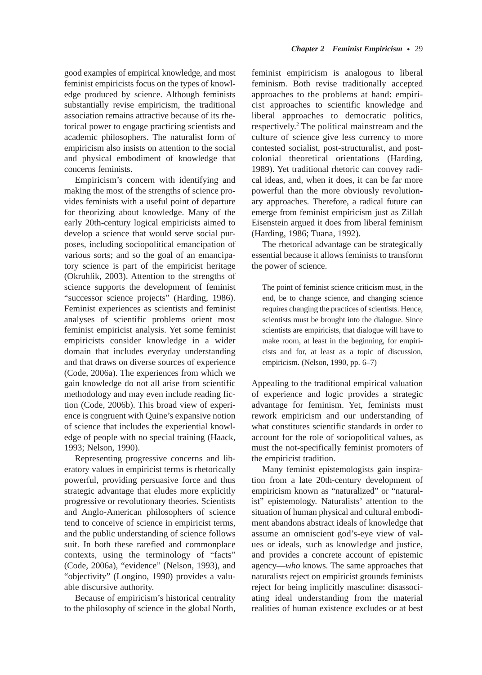good examples of empirical knowledge, and most feminist empiricists focus on the types of knowledge produced by science. Although feminists substantially revise empiricism, the traditional association remains attractive because of its rhetorical power to engage practicing scientists and academic philosophers. The naturalist form of empiricism also insists on attention to the social and physical embodiment of knowledge that concerns feminists.

Empiricism's concern with identifying and making the most of the strengths of science provides feminists with a useful point of departure for theorizing about knowledge. Many of the early 20th-century logical empiricists aimed to develop a science that would serve social purposes, including sociopolitical emancipation of various sorts; and so the goal of an emancipatory science is part of the empiricist heritage (Okruhlik, 2003). Attention to the strengths of science supports the development of feminist "successor science projects" (Harding, 1986). Feminist experiences as scientists and feminist analyses of scientific problems orient most feminist empiricist analysis. Yet some feminist empiricists consider knowledge in a wider domain that includes everyday understanding and that draws on diverse sources of experience (Code, 2006a). The experiences from which we gain knowledge do not all arise from scientific methodology and may even include reading fiction (Code, 2006b). This broad view of experience is congruent with Quine's expansive notion of science that includes the experiential knowledge of people with no special training (Haack, 1993; Nelson, 1990).

Representing progressive concerns and liberatory values in empiricist terms is rhetorically powerful, providing persuasive force and thus strategic advantage that eludes more explicitly progressive or revolutionary theories. Scientists and Anglo-American philosophers of science tend to conceive of science in empiricist terms, and the public understanding of science follows suit. In both these rarefied and commonplace contexts, using the terminology of "facts" (Code, 2006a), "evidence" (Nelson, 1993), and "objectivity" (Longino, 1990) provides a valuable discursive authority.

Because of empiricism's historical centrality to the philosophy of science in the global North,

feminist empiricism is analogous to liberal feminism. Both revise traditionally accepted approaches to the problems at hand: empiricist approaches to scientific knowledge and liberal approaches to democratic politics, respectively.2 The political mainstream and the culture of science give less currency to more contested socialist, post-structuralist, and postcolonial theoretical orientations (Harding, 1989). Yet traditional rhetoric can convey radical ideas, and, when it does, it can be far more powerful than the more obviously revolutionary approaches. Therefore, a radical future can emerge from feminist empiricism just as Zillah Eisenstein argued it does from liberal feminism (Harding, 1986; Tuana, 1992).

The rhetorical advantage can be strategically essential because it allows feminists to transform the power of science.

The point of feminist science criticism must, in the end, be to change science, and changing science requires changing the practices of scientists. Hence, scientists must be brought into the dialogue. Since scientists are empiricists, that dialogue will have to make room, at least in the beginning, for empiricists and for, at least as a topic of discussion, empiricism. (Nelson, 1990, pp. 6–7)

Appealing to the traditional empirical valuation of experience and logic provides a strategic advantage for feminism. Yet, feminists must rework empiricism and our understanding of what constitutes scientific standards in order to account for the role of sociopolitical values, as must the not-specifically feminist promoters of the empiricist tradition.

Many feminist epistemologists gain inspiration from a late 20th-century development of empiricism known as "naturalized" or "naturalist" epistemology. Naturalists' attention to the situation of human physical and cultural embodiment abandons abstract ideals of knowledge that assume an omniscient god's-eye view of values or ideals, such as knowledge and justice, and provides a concrete account of epistemic agency—*who* knows. The same approaches that naturalists reject on empiricist grounds feminists reject for being implicitly masculine: disassociating ideal understanding from the material realities of human existence excludes or at best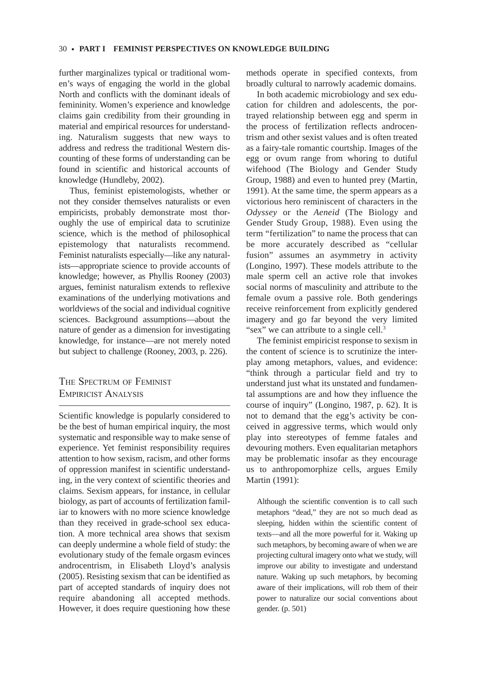further marginalizes typical or traditional women's ways of engaging the world in the global North and conflicts with the dominant ideals of femininity. Women's experience and knowledge claims gain credibility from their grounding in material and empirical resources for understanding. Naturalism suggests that new ways to address and redress the traditional Western discounting of these forms of understanding can be found in scientific and historical accounts of knowledge (Hundleby, 2002).

Thus, feminist epistemologists, whether or not they consider themselves naturalists or even empiricists, probably demonstrate most thoroughly the use of empirical data to scrutinize science, which is the method of philosophical epistemology that naturalists recommend. Feminist naturalists especially—like any naturalists—appropriate science to provide accounts of knowledge; however, as Phyllis Rooney (2003) argues, feminist naturalism extends to reflexive examinations of the underlying motivations and worldviews of the social and individual cognitive sciences. Background assumptions—about the nature of gender as a dimension for investigating knowledge, for instance—are not merely noted but subject to challenge (Rooney, 2003, p. 226).

# The Spectrum of Feminist Empiricist Analysis

Scientific knowledge is popularly considered to be the best of human empirical inquiry, the most systematic and responsible way to make sense of experience. Yet feminist responsibility requires attention to how sexism, racism, and other forms of oppression manifest in scientific understanding, in the very context of scientific theories and claims. Sexism appears, for instance, in cellular biology, as part of accounts of fertilization familiar to knowers with no more science knowledge than they received in grade-school sex education. A more technical area shows that sexism can deeply undermine a whole field of study: the evolutionary study of the female orgasm evinces androcentrism, in Elisabeth Lloyd's analysis (2005). Resisting sexism that can be identified as part of accepted standards of inquiry does not require abandoning all accepted methods. However, it does require questioning how these methods operate in specified contexts, from broadly cultural to narrowly academic domains.

In both academic microbiology and sex education for children and adolescents, the portrayed relationship between egg and sperm in the process of fertilization reflects androcentrism and other sexist values and is often treated as a fairy-tale romantic courtship. Images of the egg or ovum range from whoring to dutiful wifehood (The Biology and Gender Study Group, 1988) and even to hunted prey (Martin, 1991). At the same time, the sperm appears as a victorious hero reminiscent of characters in the *Odyssey* or the *Aeneid* (The Biology and Gender Study Group, 1988). Even using the term "fertilization" to name the process that can be more accurately described as "cellular fusion" assumes an asymmetry in activity (Longino, 1997). These models attribute to the male sperm cell an active role that invokes social norms of masculinity and attribute to the female ovum a passive role. Both genderings receive reinforcement from explicitly gendered imagery and go far beyond the very limited "sex" we can attribute to a single cell.<sup>3</sup>

The feminist empiricist response to sexism in the content of science is to scrutinize the interplay among metaphors, values, and evidence: "think through a particular field and try to understand just what its unstated and fundamental assumptions are and how they influence the course of inquiry" (Longino, 1987, p. 62). It is not to demand that the egg's activity be conceived in aggressive terms, which would only play into stereotypes of femme fatales and devouring mothers. Even equalitarian metaphors may be problematic insofar as they encourage us to anthropomorphize cells, argues Emily Martin (1991):

Although the scientific convention is to call such metaphors "dead," they are not so much dead as sleeping, hidden within the scientific content of texts—and all the more powerful for it. Waking up such metaphors, by becoming aware of when we are projecting cultural imagery onto what we study, will improve our ability to investigate and understand nature. Waking up such metaphors, by becoming aware of their implications, will rob them of their power to naturalize our social conventions about gender. (p. 501)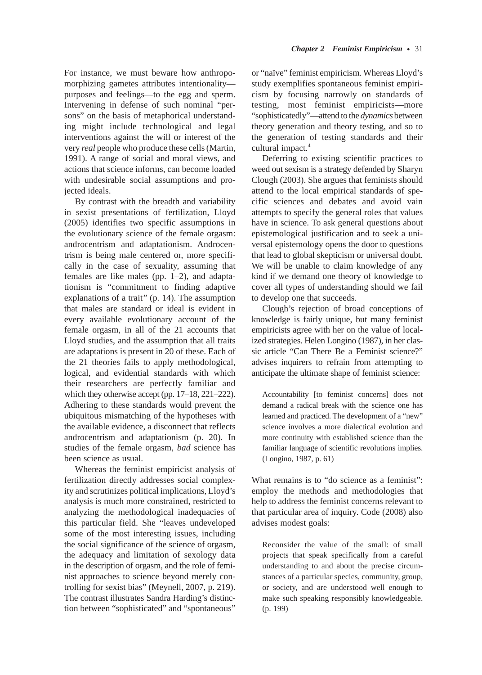For instance, we must beware how anthropomorphizing gametes attributes intentionality purposes and feelings—to the egg and sperm. Intervening in defense of such nominal "persons" on the basis of metaphorical understanding might include technological and legal interventions against the will or interest of the very *real* people who produce these cells (Martin, 1991). A range of social and moral views, and actions that science informs, can become loaded with undesirable social assumptions and projected ideals.

By contrast with the breadth and variability in sexist presentations of fertilization, Lloyd (2005) identifies two specific assumptions in the evolutionary science of the female orgasm: androcentrism and adaptationism. Androcentrism is being male centered or, more specifically in the case of sexuality, assuming that females are like males (pp. 1–2), and adaptationism is "commitment to finding adaptive explanations of a trait" (p. 14). The assumption that males are standard or ideal is evident in every available evolutionary account of the female orgasm, in all of the 21 accounts that Lloyd studies, and the assumption that all traits are adaptations is present in 20 of these. Each of the 21 theories fails to apply methodological, logical, and evidential standards with which their researchers are perfectly familiar and which they otherwise accept (pp. 17–18, 221–222). Adhering to these standards would prevent the ubiquitous mismatching of the hypotheses with the available evidence, a disconnect that reflects androcentrism and adaptationism (p. 20). In studies of the female orgasm, *bad* science has been science as usual.

Whereas the feminist empiricist analysis of fertilization directly addresses social complexity and scrutinizes political implications, Lloyd's analysis is much more constrained, restricted to analyzing the methodological inadequacies of this particular field. She "leaves undeveloped some of the most interesting issues, including the social significance of the science of orgasm, the adequacy and limitation of sexology data in the description of orgasm, and the role of feminist approaches to science beyond merely controlling for sexist bias" (Meynell, 2007, p. 219). The contrast illustrates Sandra Harding's distinction between "sophisticated" and "spontaneous"

or "naïve" feminist empiricism. Whereas Lloyd's study exemplifies spontaneous feminist empiricism by focusing narrowly on standards of testing, most feminist empiricists—more "sophisticatedly"—attend to the *dynamics* between theory generation and theory testing, and so to the generation of testing standards and their cultural impact.<sup>4</sup>

Deferring to existing scientific practices to weed out sexism is a strategy defended by Sharyn Clough (2003). She argues that feminists should attend to the local empirical standards of specific sciences and debates and avoid vain attempts to specify the general roles that values have in science. To ask general questions about epistemological justification and to seek a universal epistemology opens the door to questions that lead to global skepticism or universal doubt. We will be unable to claim knowledge of any kind if we demand one theory of knowledge to cover all types of understanding should we fail to develop one that succeeds.

Clough's rejection of broad conceptions of knowledge is fairly unique, but many feminist empiricists agree with her on the value of localized strategies. Helen Longino (1987), in her classic article "Can There Be a Feminist science?" advises inquirers to refrain from attempting to anticipate the ultimate shape of feminist science:

Accountability [to feminist concerns] does not demand a radical break with the science one has learned and practiced. The development of a "new" science involves a more dialectical evolution and more continuity with established science than the familiar language of scientific revolutions implies. (Longino, 1987, p. 61)

What remains is to "do science as a feminist": employ the methods and methodologies that help to address the feminist concerns relevant to that particular area of inquiry. Code (2008) also advises modest goals:

Reconsider the value of the small: of small projects that speak specifically from a careful understanding to and about the precise circumstances of a particular species, community, group, or society, and are understood well enough to make such speaking responsibly knowledgeable. (p. 199)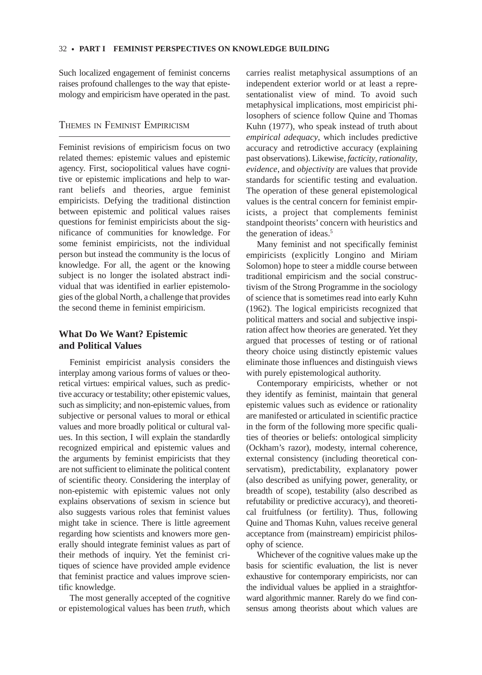Such localized engagement of feminist concerns raises profound challenges to the way that epistemology and empiricism have operated in the past.

# Themes in Feminist Empiricism

Feminist revisions of empiricism focus on two related themes: epistemic values and epistemic agency. First, sociopolitical values have cognitive or epistemic implications and help to warrant beliefs and theories, argue feminist empiricists. Defying the traditional distinction between epistemic and political values raises questions for feminist empiricists about the significance of communities for knowledge. For some feminist empiricists, not the individual person but instead the community is the locus of knowledge. For all, the agent or the knowing subject is no longer the isolated abstract individual that was identified in earlier epistemologies of the global North, a challenge that provides the second theme in feminist empiricism.

# **What Do We Want? Epistemic and Political Values**

Feminist empiricist analysis considers the interplay among various forms of values or theoretical virtues: empirical values, such as predictive accuracy or testability; other epistemic values, such as simplicity; and non-epistemic values, from subjective or personal values to moral or ethical values and more broadly political or cultural values. In this section, I will explain the standardly recognized empirical and epistemic values and the arguments by feminist empiricists that they are not sufficient to eliminate the political content of scientific theory. Considering the interplay of non-epistemic with epistemic values not only explains observations of sexism in science but also suggests various roles that feminist values might take in science. There is little agreement regarding how scientists and knowers more generally should integrate feminist values as part of their methods of inquiry. Yet the feminist critiques of science have provided ample evidence that feminist practice and values improve scientific knowledge.

The most generally accepted of the cognitive or epistemological values has been *truth*, which carries realist metaphysical assumptions of an independent exterior world or at least a representationalist view of mind. To avoid such metaphysical implications, most empiricist philosophers of science follow Quine and Thomas Kuhn (1977), who speak instead of truth about *empirical adequacy*, which includes predictive accuracy and retrodictive accuracy (explaining past observations). Likewise, *facticity*, *rationality*, *evidence*, and *objectivity* are values that provide standards for scientific testing and evaluation. The operation of these general epistemological values is the central concern for feminist empiricists, a project that complements feminist standpoint theorists' concern with heuristics and the generation of ideas.<sup>5</sup>

Many feminist and not specifically feminist empiricists (explicitly Longino and Miriam Solomon) hope to steer a middle course between traditional empiricism and the social constructivism of the Strong Programme in the sociology of science that is sometimes read into early Kuhn (1962). The logical empiricists recognized that political matters and social and subjective inspiration affect how theories are generated. Yet they argued that processes of testing or of rational theory choice using distinctly epistemic values eliminate those influences and distinguish views with purely epistemological authority.

Contemporary empiricists, whether or not they identify as feminist, maintain that general epistemic values such as evidence or rationality are manifested or articulated in scientific practice in the form of the following more specific qualities of theories or beliefs: ontological simplicity (Ockham's razor), modesty, internal coherence, external consistency (including theoretical conservatism), predictability, explanatory power (also described as unifying power, generality, or breadth of scope), testability (also described as refutability or predictive accuracy), and theoretical fruitfulness (or fertility). Thus, following Quine and Thomas Kuhn, values receive general acceptance from (mainstream) empiricist philosophy of science.

Whichever of the cognitive values make up the basis for scientific evaluation, the list is never exhaustive for contemporary empiricists, nor can the individual values be applied in a straightforward algorithmic manner. Rarely do we find consensus among theorists about which values are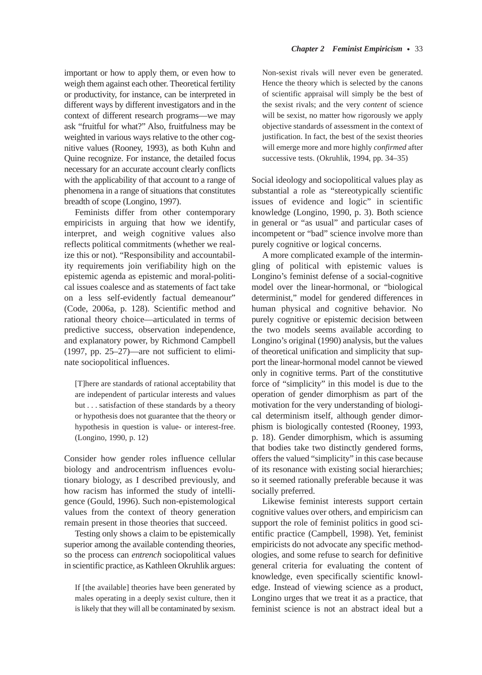important or how to apply them, or even how to weigh them against each other. Theoretical fertility or productivity, for instance, can be interpreted in different ways by different investigators and in the context of different research programs—we may ask "fruitful for what?" Also, fruitfulness may be weighted in various ways relative to the other cognitive values (Rooney, 1993), as both Kuhn and Quine recognize. For instance, the detailed focus necessary for an accurate account clearly conflicts with the applicability of that account to a range of phenomena in a range of situations that constitutes breadth of scope (Longino, 1997).

Feminists differ from other contemporary empiricists in arguing that how we identify, interpret, and weigh cognitive values also reflects political commitments (whether we realize this or not). "Responsibility and accountability requirements join verifiability high on the epistemic agenda as epistemic and moral-political issues coalesce and as statements of fact take on a less self-evidently factual demeanour" (Code, 2006a, p. 128). Scientific method and rational theory choice—articulated in terms of predictive success, observation independence, and explanatory power, by Richmond Campbell (1997, pp. 25–27)—are not sufficient to eliminate sociopolitical influences.

[T]here are standards of rational acceptability that are independent of particular interests and values but . . . satisfaction of these standards by a theory or hypothesis does not guarantee that the theory or hypothesis in question is value- or interest-free. (Longino, 1990, p. 12)

Consider how gender roles influence cellular biology and androcentrism influences evolutionary biology, as I described previously, and how racism has informed the study of intelligence (Gould, 1996). Such non-epistemological values from the context of theory generation remain present in those theories that succeed.

Testing only shows a claim to be epistemically superior among the available contending theories, so the process can *entrench* sociopolitical values in scientific practice, as Kathleen Okruhlik argues:

If [the available] theories have been generated by males operating in a deeply sexist culture, then it is likely that they will all be contaminated by sexism.

Non-sexist rivals will never even be generated. Hence the theory which is selected by the canons of scientific appraisal will simply be the best of the sexist rivals; and the very *content* of science will be sexist, no matter how rigorously we apply objective standards of assessment in the context of justification. In fact, the best of the sexist theories will emerge more and more highly *confirmed* after successive tests. (Okruhlik, 1994, pp. 34–35)

Social ideology and sociopolitical values play as substantial a role as "stereotypically scientific issues of evidence and logic" in scientific knowledge (Longino, 1990, p. 3). Both science in general or "as usual" and particular cases of incompetent or "bad" science involve more than purely cognitive or logical concerns.

A more complicated example of the intermingling of political with epistemic values is Longino's feminist defense of a social-cognitive model over the linear-hormonal, or "biological determinist," model for gendered differences in human physical and cognitive behavior. No purely cognitive or epistemic decision between the two models seems available according to Longino's original (1990) analysis, but the values of theoretical unification and simplicity that support the linear-hormonal model cannot be viewed only in cognitive terms. Part of the constitutive force of "simplicity" in this model is due to the operation of gender dimorphism as part of the motivation for the very understanding of biological determinism itself, although gender dimorphism is biologically contested (Rooney, 1993, p. 18). Gender dimorphism, which is assuming that bodies take two distinctly gendered forms, offers the valued "simplicity" in this case because of its resonance with existing social hierarchies; so it seemed rationally preferable because it was socially preferred.

Likewise feminist interests support certain cognitive values over others, and empiricism can support the role of feminist politics in good scientific practice (Campbell, 1998). Yet, feminist empiricists do not advocate any specific methodologies, and some refuse to search for definitive general criteria for evaluating the content of knowledge, even specifically scientific knowledge. Instead of viewing science as a product, Longino urges that we treat it as a practice, that feminist science is not an abstract ideal but a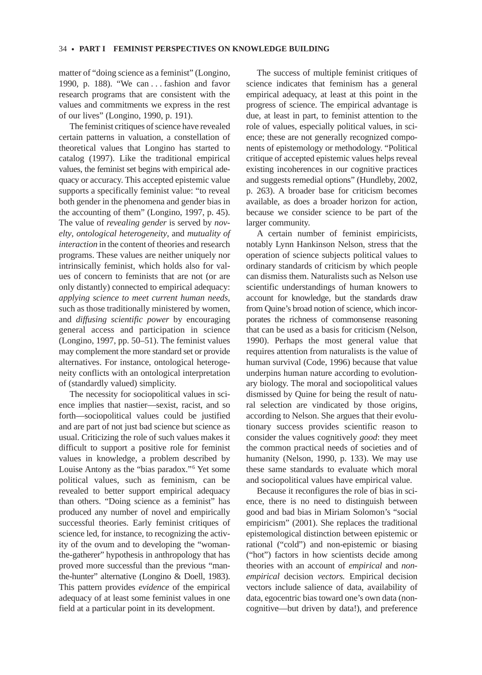matter of "doing science as a feminist" (Longino, 1990, p. 188). "We can . . . fashion and favor research programs that are consistent with the values and commitments we express in the rest of our lives" (Longino, 1990, p. 191).

The feminist critiques of science have revealed certain patterns in valuation, a constellation of theoretical values that Longino has started to catalog (1997). Like the traditional empirical values, the feminist set begins with empirical adequacy or accuracy. This accepted epistemic value supports a specifically feminist value: "to reveal both gender in the phenomena and gender bias in the accounting of them" (Longino, 1997, p. 45). The value of *revealing gender* is served by *novelty*, *ontological heterogeneity*, and *mutuality of interaction* in the content of theories and research programs. These values are neither uniquely nor intrinsically feminist, which holds also for values of concern to feminists that are not (or are only distantly) connected to empirical adequacy: *applying science to meet current human needs*, such as those traditionally ministered by women, and *diffusing scientific power* by encouraging general access and participation in science (Longino, 1997, pp. 50–51). The feminist values may complement the more standard set or provide alternatives. For instance, ontological heterogeneity conflicts with an ontological interpretation of (standardly valued) simplicity.

The necessity for sociopolitical values in science implies that nastier—sexist, racist, and so forth—sociopolitical values could be justified and are part of not just bad science but science as usual. Criticizing the role of such values makes it difficult to support a positive role for feminist values in knowledge, a problem described by Louise Antony as the "bias paradox."6 Yet some political values, such as feminism, can be revealed to better support empirical adequacy than others. "Doing science as a feminist" has produced any number of novel and empirically successful theories. Early feminist critiques of science led, for instance, to recognizing the activity of the ovum and to developing the "womanthe-gatherer" hypothesis in anthropology that has proved more successful than the previous "manthe-hunter" alternative (Longino & Doell, 1983). This pattern provides *evidence* of the empirical adequacy of at least some feminist values in one field at a particular point in its development.

The success of multiple feminist critiques of science indicates that feminism has a general empirical adequacy, at least at this point in the progress of science. The empirical advantage is due, at least in part, to feminist attention to the role of values, especially political values, in science; these are not generally recognized components of epistemology or methodology. "Political critique of accepted epistemic values helps reveal existing incoherences in our cognitive practices and suggests remedial options" (Hundleby, 2002, p. 263). A broader base for criticism becomes available, as does a broader horizon for action, because we consider science to be part of the larger community.

A certain number of feminist empiricists, notably Lynn Hankinson Nelson, stress that the operation of science subjects political values to ordinary standards of criticism by which people can dismiss them. Naturalists such as Nelson use scientific understandings of human knowers to account for knowledge, but the standards draw from Quine's broad notion of science, which incorporates the richness of commonsense reasoning that can be used as a basis for criticism (Nelson, 1990). Perhaps the most general value that requires attention from naturalists is the value of human survival (Code, 1996) because that value underpins human nature according to evolutionary biology. The moral and sociopolitical values dismissed by Quine for being the result of natural selection are vindicated by those origins, according to Nelson. She argues that their evolutionary success provides scientific reason to consider the values cognitively *good*: they meet the common practical needs of societies and of humanity (Nelson, 1990, p. 133). We may use these same standards to evaluate which moral and sociopolitical values have empirical value.

Because it reconfigures the role of bias in science, there is no need to distinguish between good and bad bias in Miriam Solomon's "social empiricism" (2001). She replaces the traditional epistemological distinction between epistemic or rational ("cold") and non-epistemic or biasing ("hot") factors in how scientists decide among theories with an account of *empirical* and *nonempirical* decision *vectors.* Empirical decision vectors include salience of data, availability of data, egocentric bias toward one's own data (noncognitive—but driven by data!), and preference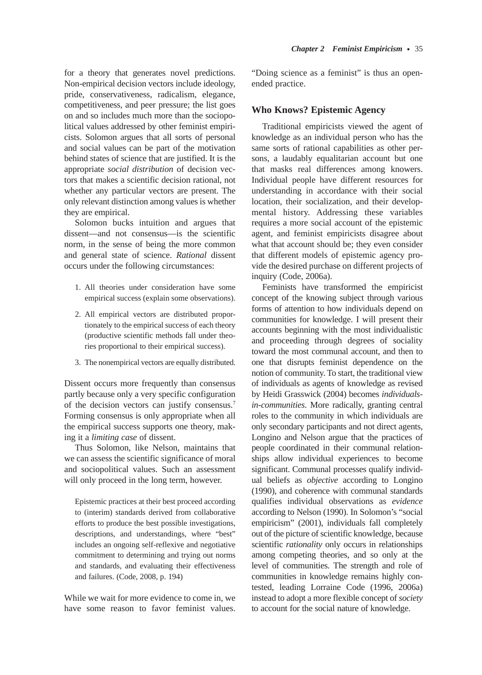for a theory that generates novel predictions. Non-empirical decision vectors include ideology, pride, conservativeness, radicalism, elegance, competitiveness, and peer pressure; the list goes on and so includes much more than the sociopolitical values addressed by other feminist empiricists. Solomon argues that all sorts of personal and social values can be part of the motivation behind states of science that are justified. It is the appropriate *social distribution* of decision vectors that makes a scientific decision rational, not whether any particular vectors are present. The only relevant distinction among values is whether they are empirical.

Solomon bucks intuition and argues that dissent—and not consensus—is the scientific norm, in the sense of being the more common and general state of science. *Rational* dissent occurs under the following circumstances:

- 1. All theories under consideration have some empirical success (explain some observations).
- 2. All empirical vectors are distributed proportionately to the empirical success of each theory (productive scientific methods fall under theories proportional to their empirical success).
- 3. The nonempirical vectors are equally distributed.

Dissent occurs more frequently than consensus partly because only a very specific configuration of the decision vectors can justify consensus.7 Forming consensus is only appropriate when all the empirical success supports one theory, making it a *limiting case* of dissent.

Thus Solomon, like Nelson, maintains that we can assess the scientific significance of moral and sociopolitical values. Such an assessment will only proceed in the long term, however.

Epistemic practices at their best proceed according to (interim) standards derived from collaborative efforts to produce the best possible investigations, descriptions, and understandings, where "best" includes an ongoing self-reflexive and negotiative commitment to determining and trying out norms and standards, and evaluating their effectiveness and failures. (Code, 2008, p. 194)

While we wait for more evidence to come in, we have some reason to favor feminist values.

"Doing science as a feminist" is thus an openended practice.

## **Who Knows? Epistemic Agency**

Traditional empiricists viewed the agent of knowledge as an individual person who has the same sorts of rational capabilities as other persons, a laudably equalitarian account but one that masks real differences among knowers. Individual people have different resources for understanding in accordance with their social location, their socialization, and their developmental history. Addressing these variables requires a more social account of the epistemic agent, and feminist empiricists disagree about what that account should be; they even consider that different models of epistemic agency provide the desired purchase on different projects of inquiry (Code, 2006a).

Feminists have transformed the empiricist concept of the knowing subject through various forms of attention to how individuals depend on communities for knowledge. I will present their accounts beginning with the most individualistic and proceeding through degrees of sociality toward the most communal account, and then to one that disrupts feminist dependence on the notion of community. To start, the traditional view of individuals as agents of knowledge as revised by Heidi Grasswick (2004) becomes *individualsin-communities*. More radically, granting central roles to the community in which individuals are only secondary participants and not direct agents, Longino and Nelson argue that the practices of people coordinated in their communal relationships allow individual experiences to become significant. Communal processes qualify individual beliefs as *objective* according to Longino (1990), and coherence with communal standards qualifies individual observations as *evidence* according to Nelson (1990). In Solomon's "social empiricism" (2001), individuals fall completely out of the picture of scientific knowledge, because scientific *rationality* only occurs in relationships among competing theories, and so only at the level of communities. The strength and role of communities in knowledge remains highly contested, leading Lorraine Code (1996, 2006a) instead to adopt a more flexible concept of *society* to account for the social nature of knowledge.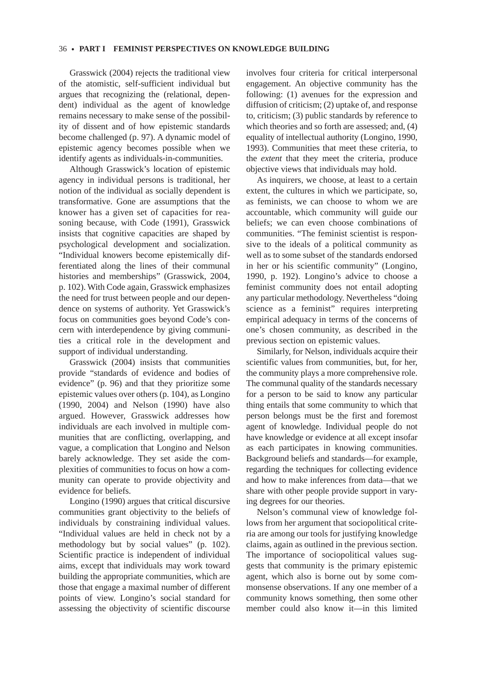Grasswick (2004) rejects the traditional view of the atomistic, self-sufficient individual but argues that recognizing the (relational, dependent) individual as the agent of knowledge remains necessary to make sense of the possibility of dissent and of how epistemic standards become challenged (p. 97). A dynamic model of epistemic agency becomes possible when we identify agents as individuals-in-communities.

Although Grasswick's location of epistemic agency in individual persons is traditional, her notion of the individual as socially dependent is transformative. Gone are assumptions that the knower has a given set of capacities for reasoning because, with Code (1991), Grasswick insists that cognitive capacities are shaped by psychological development and socialization. "Individual knowers become epistemically differentiated along the lines of their communal histories and memberships" (Grasswick, 2004, p. 102). With Code again, Grasswick emphasizes the need for trust between people and our dependence on systems of authority. Yet Grasswick's focus on communities goes beyond Code's concern with interdependence by giving communities a critical role in the development and support of individual understanding.

Grasswick (2004) insists that communities provide "standards of evidence and bodies of evidence" (p. 96) and that they prioritize some epistemic values over others (p. 104), as Longino (1990, 2004) and Nelson (1990) have also argued. However, Grasswick addresses how individuals are each involved in multiple communities that are conflicting, overlapping, and vague, a complication that Longino and Nelson barely acknowledge. They set aside the complexities of communities to focus on how a community can operate to provide objectivity and evidence for beliefs.

Longino (1990) argues that critical discursive communities grant objectivity to the beliefs of individuals by constraining individual values. "Individual values are held in check not by a methodology but by social values" (p. 102). Scientific practice is independent of individual aims, except that individuals may work toward building the appropriate communities, which are those that engage a maximal number of different points of view. Longino's social standard for assessing the objectivity of scientific discourse involves four criteria for critical interpersonal engagement. An objective community has the following: (1) avenues for the expression and diffusion of criticism; (2) uptake of, and response to, criticism; (3) public standards by reference to which theories and so forth are assessed; and, (4) equality of intellectual authority (Longino, 1990, 1993). Communities that meet these criteria, to the *extent* that they meet the criteria, produce objective views that individuals may hold.

As inquirers, we choose, at least to a certain extent, the cultures in which we participate, so, as feminists, we can choose to whom we are accountable, which community will guide our beliefs; we can even choose combinations of communities. "The feminist scientist is responsive to the ideals of a political community as well as to some subset of the standards endorsed in her or his scientific community" (Longino, 1990, p. 192). Longino's advice to choose a feminist community does not entail adopting any particular methodology. Nevertheless "doing science as a feminist" requires interpreting empirical adequacy in terms of the concerns of one's chosen community, as described in the previous section on epistemic values.

Similarly, for Nelson, individuals acquire their scientific values from communities, but, for her, the community plays a more comprehensive role. The communal quality of the standards necessary for a person to be said to know any particular thing entails that some community to which that person belongs must be the first and foremost agent of knowledge. Individual people do not have knowledge or evidence at all except insofar as each participates in knowing communities. Background beliefs and standards—for example, regarding the techniques for collecting evidence and how to make inferences from data—that we share with other people provide support in varying degrees for our theories.

Nelson's communal view of knowledge follows from her argument that sociopolitical criteria are among our tools for justifying knowledge claims, again as outlined in the previous section. The importance of sociopolitical values suggests that community is the primary epistemic agent, which also is borne out by some commonsense observations. If any one member of a community knows something, then some other member could also know it—in this limited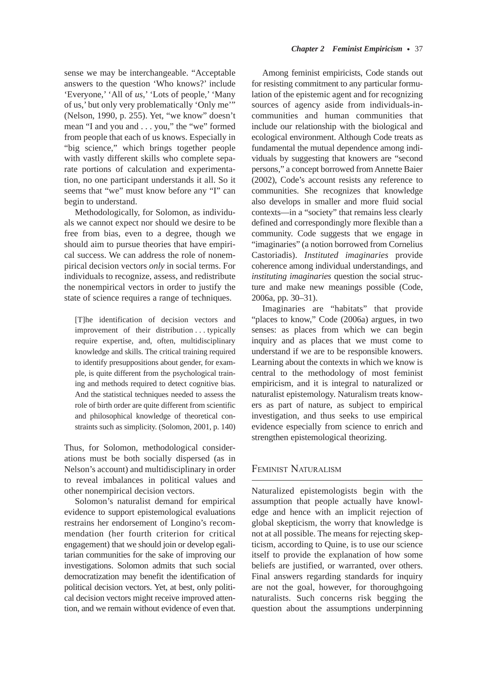sense we may be interchangeable. "Acceptable answers to the question 'Who knows?' include 'Everyone,' 'All of *us*,' 'Lots of people,' 'Many of us,' but only very problematically 'Only me'" (Nelson, 1990, p. 255). Yet, "we know" doesn't mean "I and you and . . . you," the "we" formed from people that each of us knows. Especially in "big science," which brings together people with vastly different skills who complete separate portions of calculation and experimentation, no one participant understands it all. So it seems that "we" must know before any "I" can begin to understand.

Methodologically, for Solomon, as individuals we cannot expect nor should we desire to be free from bias, even to a degree, though we should aim to pursue theories that have empirical success. We can address the role of nonempirical decision vectors *only* in social terms. For individuals to recognize, assess, and redistribute the nonempirical vectors in order to justify the state of science requires a range of techniques.

[T]he identification of decision vectors and improvement of their distribution . . . typically require expertise, and, often, multidisciplinary knowledge and skills. The critical training required to identify presuppositions about gender, for example, is quite different from the psychological training and methods required to detect cognitive bias. And the statistical techniques needed to assess the role of birth order are quite different from scientific and philosophical knowledge of theoretical constraints such as simplicity. (Solomon, 2001, p. 140)

Thus, for Solomon, methodological considerations must be both socially dispersed (as in Nelson's account) and multidisciplinary in order to reveal imbalances in political values and other nonempirical decision vectors.

Solomon's naturalist demand for empirical evidence to support epistemological evaluations restrains her endorsement of Longino's recommendation (her fourth criterion for critical engagement) that we should join or develop egalitarian communities for the sake of improving our investigations. Solomon admits that such social democratization may benefit the identification of political decision vectors. Yet, at best, only political decision vectors might receive improved attention, and we remain without evidence of even that.

Among feminist empiricists, Code stands out for resisting commitment to any particular formulation of the epistemic agent and for recognizing sources of agency aside from individuals-incommunities and human communities that include our relationship with the biological and ecological environment. Although Code treats as fundamental the mutual dependence among individuals by suggesting that knowers are "second persons," a concept borrowed from Annette Baier (2002), Code's account resists any reference to communities. She recognizes that knowledge also develops in smaller and more fluid social contexts—in a "society" that remains less clearly defined and correspondingly more flexible than a community. Code suggests that we engage in "imaginaries" (a notion borrowed from Cornelius Castoriadis). *Instituted imaginaries* provide coherence among individual understandings, and *instituting imaginaries* question the social structure and make new meanings possible (Code, 2006a, pp. 30–31).

Imaginaries are "habitats" that provide "places to know," Code (2006a) argues, in two senses: as places from which we can begin inquiry and as places that we must come to understand if we are to be responsible knowers. Learning about the contexts in which we know is central to the methodology of most feminist empiricism, and it is integral to naturalized or naturalist epistemology. Naturalism treats knowers as part of nature, as subject to empirical investigation, and thus seeks to use empirical evidence especially from science to enrich and strengthen epistemological theorizing.

## Feminist Naturalism

Naturalized epistemologists begin with the assumption that people actually have knowledge and hence with an implicit rejection of global skepticism, the worry that knowledge is not at all possible. The means for rejecting skepticism, according to Quine, is to use our science itself to provide the explanation of how some beliefs are justified, or warranted, over others. Final answers regarding standards for inquiry are not the goal, however, for thoroughgoing naturalists. Such concerns risk begging the question about the assumptions underpinning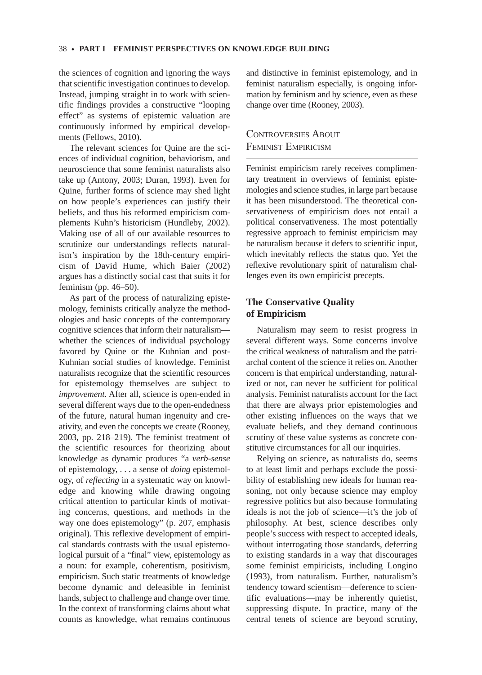the sciences of cognition and ignoring the ways that scientific investigation continues to develop. Instead, jumping straight in to work with scientific findings provides a constructive "looping effect" as systems of epistemic valuation are continuously informed by empirical developments (Fellows, 2010).

The relevant sciences for Quine are the sciences of individual cognition, behaviorism, and neuroscience that some feminist naturalists also take up (Antony, 2003; Duran, 1993). Even for Quine, further forms of science may shed light on how people's experiences can justify their beliefs, and thus his reformed empiricism complements Kuhn's historicism (Hundleby, 2002). Making use of all of our available resources to scrutinize our understandings reflects naturalism's inspiration by the 18th-century empiricism of David Hume, which Baier (2002) argues has a distinctly social cast that suits it for feminism (pp. 46–50).

As part of the process of naturalizing epistemology, feminists critically analyze the methodologies and basic concepts of the contemporary cognitive sciences that inform their naturalism whether the sciences of individual psychology favored by Quine or the Kuhnian and post-Kuhnian social studies of knowledge. Feminist naturalists recognize that the scientific resources for epistemology themselves are subject to *improvement*. After all, science is open-ended in several different ways due to the open-endedness of the future, natural human ingenuity and creativity, and even the concepts we create (Rooney, 2003, pp. 218–219). The feminist treatment of the scientific resources for theorizing about knowledge as dynamic produces "a *verb-sense* of epistemology, . . . a sense of *doing* epistemology, of *reflecting* in a systematic way on knowledge and knowing while drawing ongoing critical attention to particular kinds of motivating concerns, questions, and methods in the way one does epistemology" (p. 207, emphasis original). This reflexive development of empirical standards contrasts with the usual epistemological pursuit of a "final" view, epistemology as a noun: for example, coherentism, positivism, empiricism. Such static treatments of knowledge become dynamic and defeasible in feminist hands, subject to challenge and change over time. In the context of transforming claims about what counts as knowledge, what remains continuous

and distinctive in feminist epistemology, and in feminist naturalism especially, is ongoing information by feminism and by science, even as these change over time (Rooney, 2003).

# CONTROVERSIES ABOUT Feminist Empiricism

Feminist empiricism rarely receives complimentary treatment in overviews of feminist epistemologies and science studies, in large part because it has been misunderstood. The theoretical conservativeness of empiricism does not entail a political conservativeness. The most potentially regressive approach to feminist empiricism may be naturalism because it defers to scientific input, which inevitably reflects the status quo. Yet the reflexive revolutionary spirit of naturalism challenges even its own empiricist precepts.

# **The Conservative Quality of Empiricism**

Naturalism may seem to resist progress in several different ways. Some concerns involve the critical weakness of naturalism and the patriarchal content of the science it relies on. Another concern is that empirical understanding, naturalized or not, can never be sufficient for political analysis. Feminist naturalists account for the fact that there are always prior epistemologies and other existing influences on the ways that we evaluate beliefs, and they demand continuous scrutiny of these value systems as concrete constitutive circumstances for all our inquiries.

Relying on science, as naturalists do, seems to at least limit and perhaps exclude the possibility of establishing new ideals for human reasoning, not only because science may employ regressive politics but also because formulating ideals is not the job of science—it's the job of philosophy. At best, science describes only people's success with respect to accepted ideals, without interrogating those standards, deferring to existing standards in a way that discourages some feminist empiricists, including Longino (1993), from naturalism. Further, naturalism's tendency toward scientism—deference to scientific evaluations—may be inherently quietist, suppressing dispute. In practice, many of the central tenets of science are beyond scrutiny,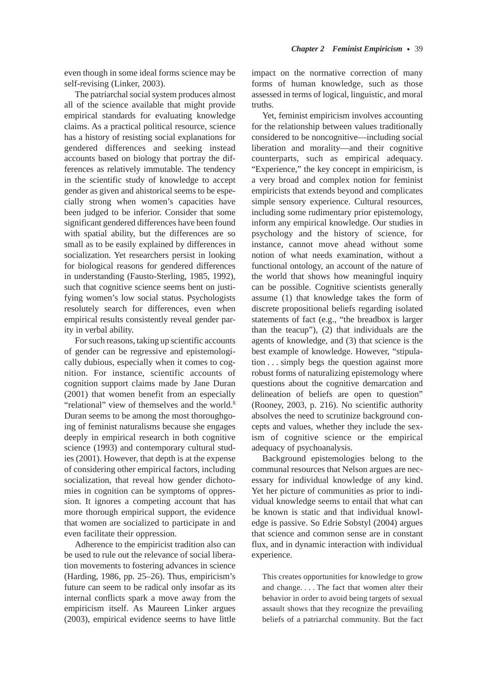even though in some ideal forms science may be self-revising (Linker, 2003).

The patriarchal social system produces almost all of the science available that might provide empirical standards for evaluating knowledge claims. As a practical political resource, science has a history of resisting social explanations for gendered differences and seeking instead accounts based on biology that portray the differences as relatively immutable. The tendency in the scientific study of knowledge to accept gender as given and ahistorical seems to be especially strong when women's capacities have been judged to be inferior. Consider that some significant gendered differences have been found with spatial ability, but the differences are so small as to be easily explained by differences in socialization. Yet researchers persist in looking for biological reasons for gendered differences in understanding (Fausto-Sterling, 1985, 1992), such that cognitive science seems bent on justifying women's low social status. Psychologists resolutely search for differences, even when empirical results consistently reveal gender parity in verbal ability.

For such reasons, taking up scientific accounts of gender can be regressive and epistemologically dubious, especially when it comes to cognition. For instance, scientific accounts of cognition support claims made by Jane Duran (2001) that women benefit from an especially "relational" view of themselves and the world.<sup>8</sup> Duran seems to be among the most thoroughgoing of feminist naturalisms because she engages deeply in empirical research in both cognitive science (1993) and contemporary cultural studies (2001). However, that depth is at the expense of considering other empirical factors, including socialization, that reveal how gender dichotomies in cognition can be symptoms of oppression. It ignores a competing account that has more thorough empirical support, the evidence that women are socialized to participate in and even facilitate their oppression.

Adherence to the empiricist tradition also can be used to rule out the relevance of social liberation movements to fostering advances in science (Harding, 1986, pp. 25–26). Thus, empiricism's future can seem to be radical only insofar as its internal conflicts spark a move away from the empiricism itself. As Maureen Linker argues (2003), empirical evidence seems to have little impact on the normative correction of many forms of human knowledge, such as those assessed in terms of logical, linguistic, and moral truths.

Yet, feminist empiricism involves accounting for the relationship between values traditionally considered to be noncognitive—including social liberation and morality—and their cognitive counterparts, such as empirical adequacy. "Experience," the key concept in empiricism, is a very broad and complex notion for feminist empiricists that extends beyond and complicates simple sensory experience. Cultural resources, including some rudimentary prior epistemology, inform any empirical knowledge. Our studies in psychology and the history of science, for instance, cannot move ahead without some notion of what needs examination, without a functional ontology, an account of the nature of the world that shows how meaningful inquiry can be possible. Cognitive scientists generally assume (1) that knowledge takes the form of discrete propositional beliefs regarding isolated statements of fact (e.g., "the breadbox is larger than the teacup"), (2) that individuals are the agents of knowledge, and (3) that science is the best example of knowledge. However, "stipulation . . . simply begs the question against more robust forms of naturalizing epistemology where questions about the cognitive demarcation and delineation of beliefs are open to question" (Rooney, 2003, p. 216). No scientific authority absolves the need to scrutinize background concepts and values, whether they include the sexism of cognitive science or the empirical adequacy of psychoanalysis.

Background epistemologies belong to the communal resources that Nelson argues are necessary for individual knowledge of any kind. Yet her picture of communities as prior to individual knowledge seems to entail that what can be known is static and that individual knowledge is passive. So Edrie Sobstyl (2004) argues that science and common sense are in constant flux, and in dynamic interaction with individual experience.

This creates opportunities for knowledge to grow and change. . . . The fact that women alter their behavior in order to avoid being targets of sexual assault shows that they recognize the prevailing beliefs of a patriarchal community. But the fact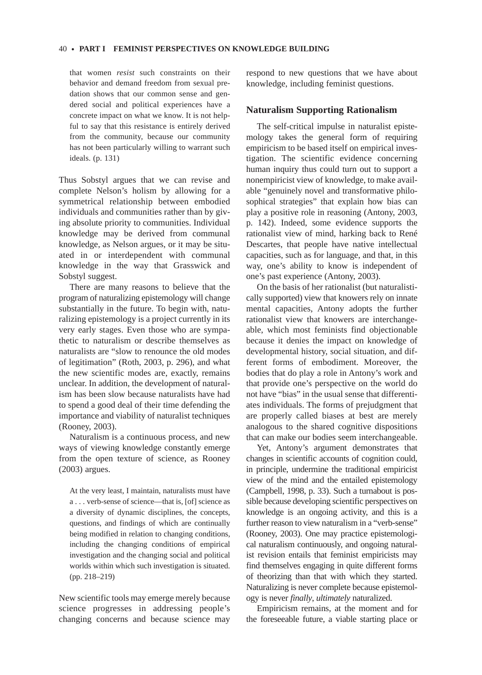that women *resist* such constraints on their behavior and demand freedom from sexual predation shows that our common sense and gendered social and political experiences have a concrete impact on what we know. It is not helpful to say that this resistance is entirely derived from the community, because our community has not been particularly willing to warrant such ideals. (p. 131)

Thus Sobstyl argues that we can revise and complete Nelson's holism by allowing for a symmetrical relationship between embodied individuals and communities rather than by giving absolute priority to communities. Individual knowledge may be derived from communal knowledge, as Nelson argues, or it may be situated in or interdependent with communal knowledge in the way that Grasswick and Sobstyl suggest.

There are many reasons to believe that the program of naturalizing epistemology will change substantially in the future. To begin with, naturalizing epistemology is a project currently in its very early stages. Even those who are sympathetic to naturalism or describe themselves as naturalists are "slow to renounce the old modes of legitimation" (Roth, 2003, p. 296), and what the new scientific modes are, exactly, remains unclear. In addition, the development of naturalism has been slow because naturalists have had to spend a good deal of their time defending the importance and viability of naturalist techniques (Rooney, 2003).

Naturalism is a continuous process, and new ways of viewing knowledge constantly emerge from the open texture of science, as Rooney (2003) argues.

At the very least, I maintain, naturalists must have a . . . verb-sense of science—that is, [of] science as a diversity of dynamic disciplines, the concepts, questions, and findings of which are continually being modified in relation to changing conditions, including the changing conditions of empirical investigation and the changing social and political worlds within which such investigation is situated. (pp. 218–219)

New scientific tools may emerge merely because science progresses in addressing people's changing concerns and because science may respond to new questions that we have about knowledge, including feminist questions.

#### **Naturalism Supporting Rationalism**

The self-critical impulse in naturalist epistemology takes the general form of requiring empiricism to be based itself on empirical investigation. The scientific evidence concerning human inquiry thus could turn out to support a nonempiricist view of knowledge, to make available "genuinely novel and transformative philosophical strategies" that explain how bias can play a positive role in reasoning (Antony, 2003, p. 142). Indeed, some evidence supports the rationalist view of mind, harking back to René Descartes, that people have native intellectual capacities, such as for language, and that, in this way, one's ability to know is independent of one's past experience (Antony, 2003).

On the basis of her rationalist (but naturalistically supported) view that knowers rely on innate mental capacities, Antony adopts the further rationalist view that knowers are interchangeable, which most feminists find objectionable because it denies the impact on knowledge of developmental history, social situation, and different forms of embodiment. Moreover, the bodies that do play a role in Antony's work and that provide one's perspective on the world do not have "bias" in the usual sense that differentiates individuals. The forms of prejudgment that are properly called biases at best are merely analogous to the shared cognitive dispositions that can make our bodies seem interchangeable.

Yet, Antony's argument demonstrates that changes in scientific accounts of cognition could, in principle, undermine the traditional empiricist view of the mind and the entailed epistemology (Campbell, 1998, p. 33). Such a turnabout is possible because developing scientific perspectives on knowledge is an ongoing activity, and this is a further reason to view naturalism in a "verb-sense" (Rooney, 2003). One may practice epistemological naturalism continuously, and ongoing naturalist revision entails that feminist empiricists may find themselves engaging in quite different forms of theorizing than that with which they started. Naturalizing is never complete because epistemology is never *finally*, *ultimately* naturalized.

Empiricism remains, at the moment and for the foreseeable future, a viable starting place or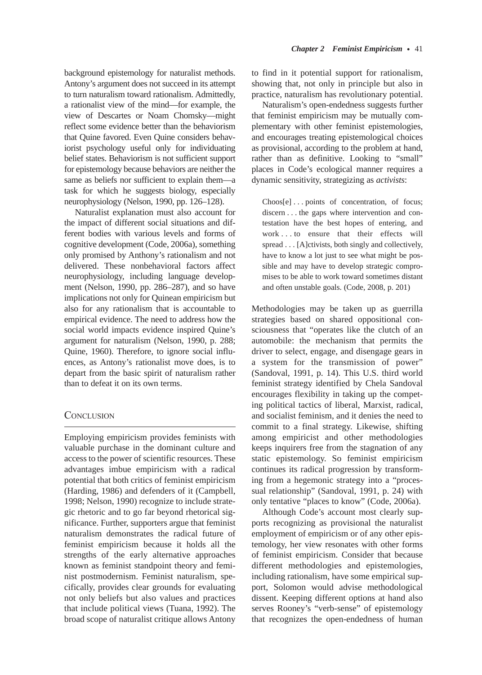background epistemology for naturalist methods. Antony's argument does not succeed in its attempt to turn naturalism toward rationalism. Admittedly, a rationalist view of the mind—for example, the view of Descartes or Noam Chomsky—might reflect some evidence better than the behaviorism that Quine favored. Even Quine considers behaviorist psychology useful only for individuating belief states. Behaviorism is not sufficient support for epistemology because behaviors are neither the same as beliefs nor sufficient to explain them—a task for which he suggests biology, especially neurophysiology (Nelson, 1990, pp. 126–128).

Naturalist explanation must also account for the impact of different social situations and different bodies with various levels and forms of cognitive development (Code, 2006a), something only promised by Anthony's rationalism and not delivered. These nonbehavioral factors affect neurophysiology, including language development (Nelson, 1990, pp. 286–287), and so have implications not only for Quinean empiricism but also for any rationalism that is accountable to empirical evidence. The need to address how the social world impacts evidence inspired Quine's argument for naturalism (Nelson, 1990, p. 288; Quine, 1960). Therefore, to ignore social influences, as Antony's rationalist move does, is to depart from the basic spirit of naturalism rather than to defeat it on its own terms.

#### **CONCLUSION**

Employing empiricism provides feminists with valuable purchase in the dominant culture and access to the power of scientific resources. These advantages imbue empiricism with a radical potential that both critics of feminist empiricism (Harding, 1986) and defenders of it (Campbell, 1998; Nelson, 1990) recognize to include strategic rhetoric and to go far beyond rhetorical significance. Further, supporters argue that feminist naturalism demonstrates the radical future of feminist empiricism because it holds all the strengths of the early alternative approaches known as feminist standpoint theory and feminist postmodernism. Feminist naturalism, specifically, provides clear grounds for evaluating not only beliefs but also values and practices that include political views (Tuana, 1992). The broad scope of naturalist critique allows Antony

to find in it potential support for rationalism, showing that, not only in principle but also in practice, naturalism has revolutionary potential.

Naturalism's open-endedness suggests further that feminist empiricism may be mutually complementary with other feminist epistemologies, and encourages treating epistemological choices as provisional, according to the problem at hand, rather than as definitive. Looking to "small" places in Code's ecological manner requires a dynamic sensitivity, strategizing as *activists*:

Choos[e] . . . points of concentration, of focus; discern . . . the gaps where intervention and contestation have the best hopes of entering, and work . . . to ensure that their effects will spread . . . [A]ctivists, both singly and collectively, have to know a lot just to see what might be possible and may have to develop strategic compromises to be able to work toward sometimes distant and often unstable goals. (Code, 2008, p. 201)

Methodologies may be taken up as guerrilla strategies based on shared oppositional consciousness that "operates like the clutch of an automobile: the mechanism that permits the driver to select, engage, and disengage gears in a system for the transmission of power" (Sandoval, 1991, p. 14). This U.S. third world feminist strategy identified by Chela Sandoval encourages flexibility in taking up the competing political tactics of liberal, Marxist, radical, and socialist feminism, and it denies the need to commit to a final strategy. Likewise, shifting among empiricist and other methodologies keeps inquirers free from the stagnation of any static epistemology. So feminist empiricism continues its radical progression by transforming from a hegemonic strategy into a "processual relationship" (Sandoval, 1991, p. 24) with only tentative "places to know" (Code, 2006a).

Although Code's account most clearly supports recognizing as provisional the naturalist employment of empiricism or of any other epistemology, her view resonates with other forms of feminist empiricism. Consider that because different methodologies and epistemologies, including rationalism, have some empirical support, Solomon would advise methodological dissent. Keeping different options at hand also serves Rooney's "verb-sense" of epistemology that recognizes the open-endedness of human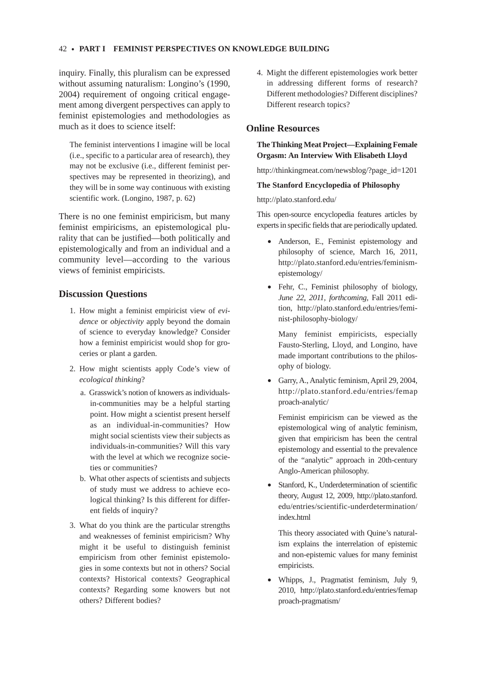#### 42–•–**PART I FEMINIST PERSPECTIVES ON KNOWLEDGE BUILDING**

inquiry. Finally, this pluralism can be expressed without assuming naturalism: Longino's (1990, 2004) requirement of ongoing critical engagement among divergent perspectives can apply to feminist epistemologies and methodologies as much as it does to science itself:

The feminist interventions I imagine will be local (i.e., specific to a particular area of research), they may not be exclusive (i.e., different feminist perspectives may be represented in theorizing), and they will be in some way continuous with existing scientific work. (Longino, 1987, p. 62)

There is no one feminist empiricism, but many feminist empiricisms, an epistemological plurality that can be justified—both politically and epistemologically and from an individual and a community level—according to the various views of feminist empiricists.

## **Discussion Questions**

- 1. How might a feminist empiricist view of *evidence* or *objectivity* apply beyond the domain of science to everyday knowledge? Consider how a feminist empiricist would shop for groceries or plant a garden.
- 2. How might scientists apply Code's view of *ecological thinking*?
	- a. Grasswick's notion of knowers as individualsin-communities may be a helpful starting point. How might a scientist present herself as an individual-in-communities? How might social scientists view their subjects as individuals-in-communities? Will this vary with the level at which we recognize societies or communities?
	- b. What other aspects of scientists and subjects of study must we address to achieve ecological thinking? Is this different for different fields of inquiry?
- 3. What do you think are the particular strengths and weaknesses of feminist empiricism? Why might it be useful to distinguish feminist empiricism from other feminist epistemologies in some contexts but not in others? Social contexts? Historical contexts? Geographical contexts? Regarding some knowers but not others? Different bodies?

4. Might the different epistemologies work better in addressing different forms of research? Different methodologies? Different disciplines? Different research topics?

# **Online Resources**

## **The Thinking Meat Project—Explaining Female Orgasm: An Interview With Elisabeth Lloyd**

http://thinkingmeat.com/newsblog/?page\_id=1201

#### **The Stanford Encyclopedia of Philosophy**

http://plato.stanford.edu/

This open-source encyclopedia features articles by experts in specific fields that are periodically updated.

- • Anderson, E., Feminist epistemology and philosophy of science, March 16, 2011, http://plato.stanford.edu/entries/feminismepistemology/
- • Fehr, C., Feminist philosophy of biology, *June 22, 2011, forthcoming,* Fall 2011 edition, http://plato.stanford.edu/entries/feminist-philosophy-biology/

Many feminist empiricists, especially Fausto-Sterling, Lloyd, and Longino, have made important contributions to the philosophy of biology.

• Garry, A., Analytic feminism, April 29, 2004, http://plato.stanford.edu/entries/femap proach-analytic/

Feminist empiricism can be viewed as the epistemological wing of analytic feminism, given that empiricism has been the central epistemology and essential to the prevalence of the "analytic" approach in 20th-century Anglo-American philosophy.

Stanford, K., Underdetermination of scientific theory, August 12, 2009, http://plato.stanford. edu/entries/scientific-underdetermination/ index.html

This theory associated with Quine's naturalism explains the interrelation of epistemic and non-epistemic values for many feminist empiricists.

• Whipps, J., Pragmatist feminism, July 9, 2010, http://plato.stanford.edu/entries/femap proach-pragmatism/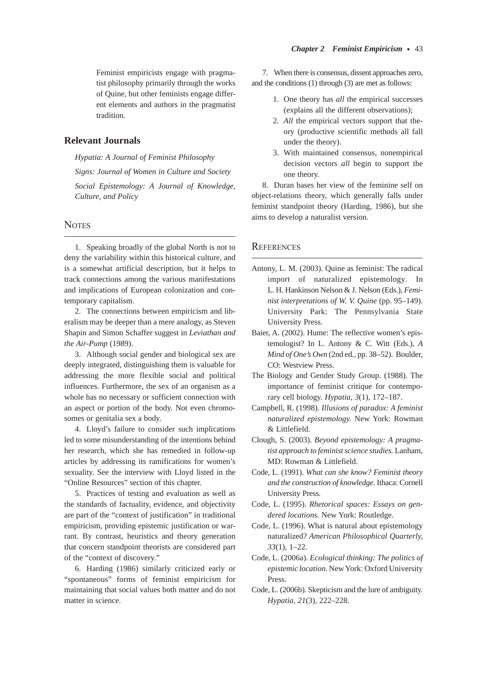Feminist empiricists engage with pragmatist philosophy primarily through the works of Quine, but other feminists engage different elements and authors in the pragmatist tradition.

## **Relevant Journals**

*Hypatia: A Journal of Feminist Philosophy Signs: Journal of Women in Culture and Society Social Epistemology: A Journal of Knowledge, Culture, and Policy*

## **NOTES**

1. Speaking broadly of the global North is not to deny the variability within this historical culture, and is a somewhat artificial description, but it helps to track connections among the various manifestations and implications of European colonization and contemporary capitalism.

2. The connections between empiricism and liberalism may be deeper than a mere analogy, as Steven Shapin and Simon Schaffer suggest in *Leviathan and the Air-Pump* (1989).

3. Although social gender and biological sex are deeply integrated, distinguishing them is valuable for addressing the more flexible social and political influences. Furthermore, the sex of an organism as a whole has no necessary or sufficient connection with an aspect or portion of the body. Not even chromosomes or genitalia sex a body.

4. Lloyd's failure to consider such implications led to some misunderstanding of the intentions behind her research, which she has remedied in follow-up articles by addressing its ramifications for women's sexuality. See the interview with Lloyd listed in the "Online Resources" section of this chapter.

5. Practices of testing and evaluation as well as the standards of factuality, evidence, and objectivity are part of the "context of justification" in traditional empiricism, providing epistemic justification or warrant. By contrast, heuristics and theory generation that concern standpoint theorists are considered part of the "context of discovery."

6. Harding (1986) similarly criticized early or "spontaneous" forms of feminist empiricism for maintaining that social values both matter and do not matter in science.

7. When there is consensus, dissent approaches zero, and the conditions (1) through (3) are met as follows:

- 1. One theory has *all* the empirical successes (explains all the different observations);
- 2. *All* the empirical vectors support that theory (productive scientific methods all fall under the theory).
- 3. With maintained consensus, nonempirical decision vectors *all* begin to support the one theory.

8. Duran bases her view of the feminine self on object-relations theory, which generally falls under feminist standpoint theory (Harding, 1986), but she aims to develop a naturalist version.

## **REFERENCES**

- Antony, L. M. (2003). Quine as feminist: The radical import of naturalized epistemology*.* In L. H. Hankinson Nelson & J. Nelson (Eds.), *Feminist interpretations of W. V. Quine* (pp. 95–149). University Park: The Pennsylvania State University Press.
- Baier, A. (2002). Hume: The reflective women's epistemologist? In L. Antony & C. Witt (Eds.), *A Mind of One's Own* (2nd ed*.,* pp. 38–52). Boulder, CO: Westview Press.
- The Biology and Gender Study Group. (1988). The importance of feminist critique for contemporary cell biology. *Hypatia, 3*(1), 172–187.
- Campbell, R. (1998). *Illusions of paradox: A feminist naturalized epistemology.* New York: Rowman & Littlefield.
- Clough, S. (2003). *Beyond epistemology: A pragmatist approach to feminist science studies.* Lanham, MD: Rowman & Littlefield.
- Code, L. (1991). *What can she know? Feminist theory and the construction of knowledge.* Ithaca: Cornell University Press.
- Code, L. (1995). *Rhetorical spaces: Essays on gendered locations.* New York: Routledge.
- Code, L. (1996). What is natural about epistemology naturalized? *American Philosophical Quarterly, 33*(1), 1–22.
- Code, L. (2006a). *Ecological thinking: The politics of epistemic location.* New York: Oxford University Press.
- Code, L. (2006b). Skepticism and the lure of ambiguity. *Hypatia, 21*(3), 222–228.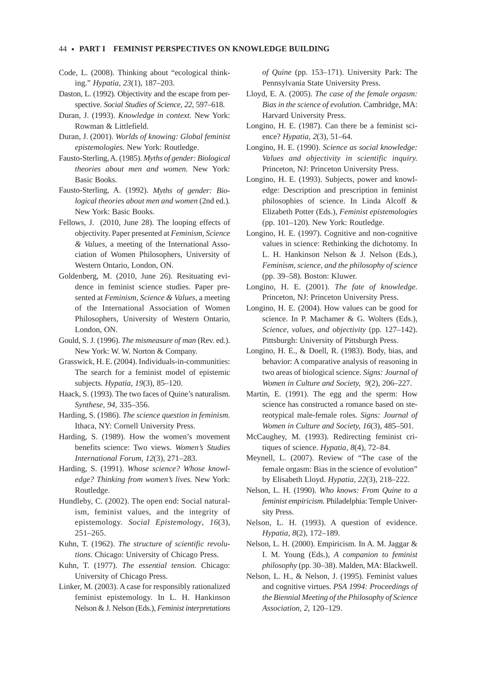#### 44–•–**PART I FEMINIST PERSPECTIVES ON KNOWLEDGE BUILDING**

- Code, L. (2008). Thinking about "ecological thinking." *Hypatia, 23*(1), 187–203.
- Daston, L. (1992). Objectivity and the escape from perspective. *Social Studies of Science, 22*, 597–618.
- Duran, J. (1993). *Knowledge in context.* New York: Rowman & Littlefield.
- Duran, J. (2001). *Worlds of knowing: Global feminist epistemologies.* New York: Routledge.
- Fausto-Sterling, A. (1985). *Myths of gender: Biological theories about men and women.* New York: Basic Books.
- Fausto-Sterling, A. (1992). *Myths of gender: Biological theories about men and women* (2nd ed.)*.* New York: Basic Books.
- Fellows, J. (2010, June 28). The looping effects of objectivity. Paper presented at *Feminism, Science & Values*, a meeting of the International Association of Women Philosophers, University of Western Ontario, London, ON.
- Goldenberg, M. (2010, June 26). Resituating evidence in feminist science studies. Paper presented at *Feminism, Science & Values*, a meeting of the International Association of Women Philosophers, University of Western Ontario, London, ON.
- Gould, S. J. (1996). *The mismeasure of man* (Rev. ed.). New York: W. W. Norton & Company.
- Grasswick, H. E. (2004). Individuals-in-communities: The search for a feminist model of epistemic subjects. *Hypatia, 19*(3), 85–120.
- Haack, S. (1993). The two faces of Quine's naturalism. *Synthese, 94*, 335–356.
- Harding, S. (1986). *The science question in feminism.* Ithaca, NY: Cornell University Press.
- Harding, S. (1989). How the women's movement benefits science: Two views. *Women's Studies International Forum, 12*(3), 271–283.
- Harding, S. (1991). *Whose science? Whose knowledge? Thinking from women's lives.* New York: Routledge.
- Hundleby, C. (2002). The open end: Social naturalism, feminist values, and the integrity of epistemology. *Social Epistemology*, *16*(3), 251–265.
- Kuhn, T. (1962). *The structure of scientific revolutions.* Chicago: University of Chicago Press.
- Kuhn, T. (1977). *The essential tension.* Chicago: University of Chicago Press.
- Linker, M. (2003). A case for responsibly rationalized feminist epistemology. In L. H. Hankinson Nelson & J. Nelson (Eds.), *Feminist interpretations*

*of Quine* (pp. 153–171). University Park: The Pennsylvania State University Press.

- Lloyd, E. A. (2005). *The case of the female orgasm: Bias in the science of evolution.* Cambridge, MA: Harvard University Press.
- Longino, H. E. (1987). Can there be a feminist science? *Hypatia, 2*(3), 51–64.
- Longino, H. E. (1990). *Science as social knowledge: Values and objectivity in scientific inquiry.* Princeton, NJ: Princeton University Press.
- Longino, H. E. (1993). Subjects, power and knowledge: Description and prescription in feminist philosophies of science. In Linda Alcoff & Elizabeth Potter (Eds.), *Feminist epistemologies* (pp. 101–120). New York: Routledge.
- Longino, H. E. (1997). Cognitive and non-cognitive values in science: Rethinking the dichotomy. In L. H. Hankinson Nelson & J. Nelson (Eds.), *Feminism, science, and the philosophy of science* (pp. 39–58)*.* Boston: Kluwer.
- Longino, H. E. (2001). *The fate of knowledge.* Princeton, NJ: Princeton University Press.
- Longino, H. E. (2004). How values can be good for science. In P. Machamer & G. Wolters (Eds.), *Science, values, and objectivity* (pp. 127–142). Pittsburgh: University of Pittsburgh Press.
- Longino, H. E., & Doell, R. (1983). Body, bias, and behavior: A comparative analysis of reasoning in two areas of biological science. *Signs: Journal of Women in Culture and Society, 9*(2), 206–227.
- Martin, E. (1991). The egg and the sperm: How science has constructed a romance based on stereotypical male-female roles. *Signs: Journal of Women in Culture and Society, 16*(3), 485–501.
- McCaughey, M. (1993). Redirecting feminist critiques of science. *Hypatia, 8*(4), 72–84.
- Meynell, L. (2007). Review of "The case of the female orgasm: Bias in the science of evolution" by Elisabeth Lloyd. *Hypatia, 22*(3), 218–222.
- Nelson, L. H. (1990). *Who knows: From Quine to a feminist empiricism.* Philadelphia: Temple University Press.
- Nelson, L. H. (1993). A question of evidence. *Hypatia, 8*(2), 172–189.
- Nelson, L. H. (2000). Empiricism. In A. M. Jaggar & I. M. Young (Eds.), *A companion to feminist philosophy* (pp. 30–38). Malden, MA: Blackwell.
- Nelson, L. H., & Nelson, J. (1995). Feminist values and cognitive virtues. *PSA 1994: Proceedings of the Biennial Meeting of the Philosophy of Science Association, 2*, 120–129.